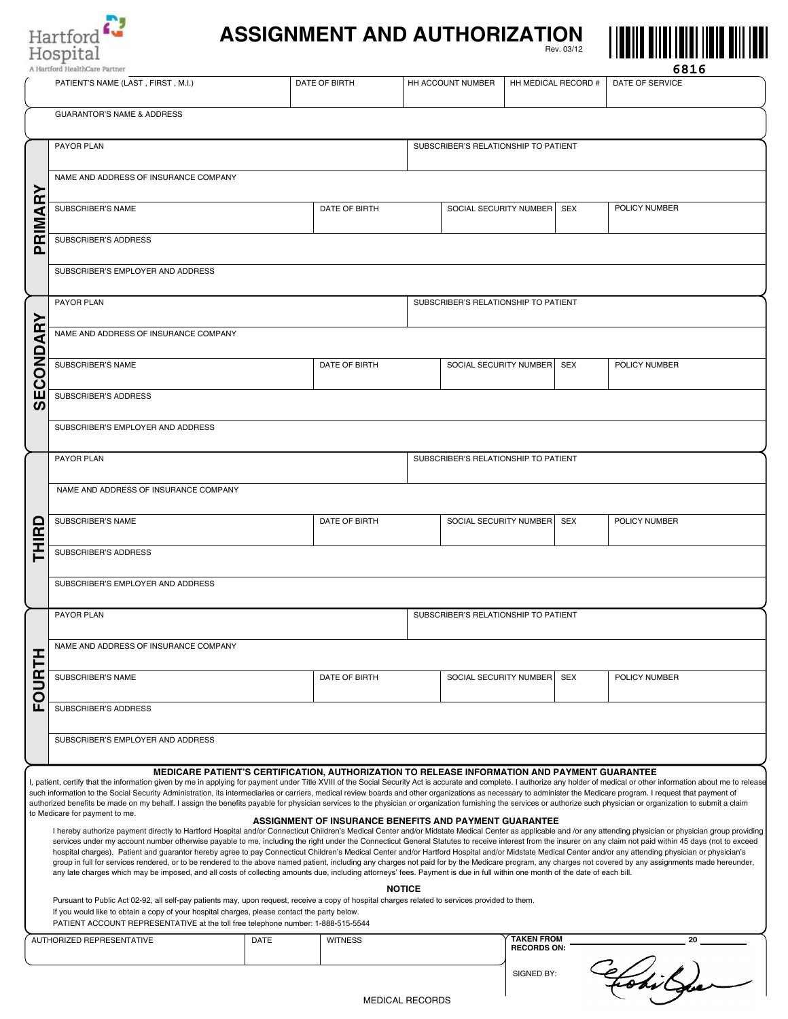

## **ASSIGNMENT AND AUTHORIZATION** Rev. 03/12



|                                                                                                                                                                                                                                                                                                                                                                                                                                                                                                                                                                                                                                                                                                                                                                                                                                                                                                                                                                                                                                                                                                                                                                                                                                                                                                                                                                                                                                                                                                                                                                                                                                                                                                                                                                                                                                                                                                                                       | A Hartford HealthCare Partner                                                                                                                                                                                                                                                                                                       |                                      |                |                        |                        |                                         |            | <b>0810</b>     |  |  |  |
|---------------------------------------------------------------------------------------------------------------------------------------------------------------------------------------------------------------------------------------------------------------------------------------------------------------------------------------------------------------------------------------------------------------------------------------------------------------------------------------------------------------------------------------------------------------------------------------------------------------------------------------------------------------------------------------------------------------------------------------------------------------------------------------------------------------------------------------------------------------------------------------------------------------------------------------------------------------------------------------------------------------------------------------------------------------------------------------------------------------------------------------------------------------------------------------------------------------------------------------------------------------------------------------------------------------------------------------------------------------------------------------------------------------------------------------------------------------------------------------------------------------------------------------------------------------------------------------------------------------------------------------------------------------------------------------------------------------------------------------------------------------------------------------------------------------------------------------------------------------------------------------------------------------------------------------|-------------------------------------------------------------------------------------------------------------------------------------------------------------------------------------------------------------------------------------------------------------------------------------------------------------------------------------|--------------------------------------|----------------|------------------------|------------------------|-----------------------------------------|------------|-----------------|--|--|--|
|                                                                                                                                                                                                                                                                                                                                                                                                                                                                                                                                                                                                                                                                                                                                                                                                                                                                                                                                                                                                                                                                                                                                                                                                                                                                                                                                                                                                                                                                                                                                                                                                                                                                                                                                                                                                                                                                                                                                       | PATIENT'S NAME (LAST, FIRST, M.I.)                                                                                                                                                                                                                                                                                                  |                                      | DATE OF BIRTH  |                        | HH ACCOUNT NUMBER      | HH MEDICAL RECORD #                     |            | DATE OF SERVICE |  |  |  |
|                                                                                                                                                                                                                                                                                                                                                                                                                                                                                                                                                                                                                                                                                                                                                                                                                                                                                                                                                                                                                                                                                                                                                                                                                                                                                                                                                                                                                                                                                                                                                                                                                                                                                                                                                                                                                                                                                                                                       | <b>GUARANTOR'S NAME &amp; ADDRESS</b>                                                                                                                                                                                                                                                                                               |                                      |                |                        |                        |                                         |            |                 |  |  |  |
|                                                                                                                                                                                                                                                                                                                                                                                                                                                                                                                                                                                                                                                                                                                                                                                                                                                                                                                                                                                                                                                                                                                                                                                                                                                                                                                                                                                                                                                                                                                                                                                                                                                                                                                                                                                                                                                                                                                                       | PAYOR PLAN<br>SUBSCRIBER'S RELATIONSHIP TO PATIENT                                                                                                                                                                                                                                                                                  |                                      |                |                        |                        |                                         |            |                 |  |  |  |
|                                                                                                                                                                                                                                                                                                                                                                                                                                                                                                                                                                                                                                                                                                                                                                                                                                                                                                                                                                                                                                                                                                                                                                                                                                                                                                                                                                                                                                                                                                                                                                                                                                                                                                                                                                                                                                                                                                                                       | NAME AND ADDRESS OF INSURANCE COMPANY                                                                                                                                                                                                                                                                                               |                                      |                |                        |                        |                                         |            |                 |  |  |  |
| Œ<br>RIMA                                                                                                                                                                                                                                                                                                                                                                                                                                                                                                                                                                                                                                                                                                                                                                                                                                                                                                                                                                                                                                                                                                                                                                                                                                                                                                                                                                                                                                                                                                                                                                                                                                                                                                                                                                                                                                                                                                                             | SUBSCRIBER'S NAME                                                                                                                                                                                                                                                                                                                   |                                      | DATE OF BIRTH  |                        | SOCIAL SECURITY NUMBER |                                         | SEX        | POLICY NUMBER   |  |  |  |
| ൨                                                                                                                                                                                                                                                                                                                                                                                                                                                                                                                                                                                                                                                                                                                                                                                                                                                                                                                                                                                                                                                                                                                                                                                                                                                                                                                                                                                                                                                                                                                                                                                                                                                                                                                                                                                                                                                                                                                                     | SUBSCRIBER'S ADDRESS                                                                                                                                                                                                                                                                                                                |                                      |                |                        |                        |                                         |            |                 |  |  |  |
|                                                                                                                                                                                                                                                                                                                                                                                                                                                                                                                                                                                                                                                                                                                                                                                                                                                                                                                                                                                                                                                                                                                                                                                                                                                                                                                                                                                                                                                                                                                                                                                                                                                                                                                                                                                                                                                                                                                                       | SUBSCRIBER'S EMPLOYER AND ADDRESS                                                                                                                                                                                                                                                                                                   |                                      |                |                        |                        |                                         |            |                 |  |  |  |
| ≻                                                                                                                                                                                                                                                                                                                                                                                                                                                                                                                                                                                                                                                                                                                                                                                                                                                                                                                                                                                                                                                                                                                                                                                                                                                                                                                                                                                                                                                                                                                                                                                                                                                                                                                                                                                                                                                                                                                                     | PAYOR PLAN                                                                                                                                                                                                                                                                                                                          | SUBSCRIBER'S RELATIONSHIP TO PATIENT |                |                        |                        |                                         |            |                 |  |  |  |
| Œ<br>⋖                                                                                                                                                                                                                                                                                                                                                                                                                                                                                                                                                                                                                                                                                                                                                                                                                                                                                                                                                                                                                                                                                                                                                                                                                                                                                                                                                                                                                                                                                                                                                                                                                                                                                                                                                                                                                                                                                                                                | NAME AND ADDRESS OF INSURANCE COMPANY                                                                                                                                                                                                                                                                                               |                                      |                |                        |                        |                                         |            |                 |  |  |  |
| COND                                                                                                                                                                                                                                                                                                                                                                                                                                                                                                                                                                                                                                                                                                                                                                                                                                                                                                                                                                                                                                                                                                                                                                                                                                                                                                                                                                                                                                                                                                                                                                                                                                                                                                                                                                                                                                                                                                                                  | SUBSCRIBER'S NAME                                                                                                                                                                                                                                                                                                                   |                                      | DATE OF BIRTH  |                        | SOCIAL SECURITY NUMBER |                                         | <b>SEX</b> | POLICY NUMBER   |  |  |  |
| Ш<br>ທ                                                                                                                                                                                                                                                                                                                                                                                                                                                                                                                                                                                                                                                                                                                                                                                                                                                                                                                                                                                                                                                                                                                                                                                                                                                                                                                                                                                                                                                                                                                                                                                                                                                                                                                                                                                                                                                                                                                                | SUBSCRIBER'S ADDRESS                                                                                                                                                                                                                                                                                                                |                                      |                |                        |                        |                                         |            |                 |  |  |  |
|                                                                                                                                                                                                                                                                                                                                                                                                                                                                                                                                                                                                                                                                                                                                                                                                                                                                                                                                                                                                                                                                                                                                                                                                                                                                                                                                                                                                                                                                                                                                                                                                                                                                                                                                                                                                                                                                                                                                       | SUBSCRIBER'S EMPLOYER AND ADDRESS                                                                                                                                                                                                                                                                                                   |                                      |                |                        |                        |                                         |            |                 |  |  |  |
|                                                                                                                                                                                                                                                                                                                                                                                                                                                                                                                                                                                                                                                                                                                                                                                                                                                                                                                                                                                                                                                                                                                                                                                                                                                                                                                                                                                                                                                                                                                                                                                                                                                                                                                                                                                                                                                                                                                                       | PAYOR PLAN<br>SUBSCRIBER'S RELATIONSHIP TO PATIENT                                                                                                                                                                                                                                                                                  |                                      |                |                        |                        |                                         |            |                 |  |  |  |
|                                                                                                                                                                                                                                                                                                                                                                                                                                                                                                                                                                                                                                                                                                                                                                                                                                                                                                                                                                                                                                                                                                                                                                                                                                                                                                                                                                                                                                                                                                                                                                                                                                                                                                                                                                                                                                                                                                                                       | NAME AND ADDRESS OF INSURANCE COMPANY                                                                                                                                                                                                                                                                                               |                                      |                |                        |                        |                                         |            |                 |  |  |  |
| ◘<br>≝                                                                                                                                                                                                                                                                                                                                                                                                                                                                                                                                                                                                                                                                                                                                                                                                                                                                                                                                                                                                                                                                                                                                                                                                                                                                                                                                                                                                                                                                                                                                                                                                                                                                                                                                                                                                                                                                                                                                | SUBSCRIBER'S NAME                                                                                                                                                                                                                                                                                                                   |                                      | DATE OF BIRTH  |                        | SOCIAL SECURITY NUMBER |                                         | <b>SEX</b> | POLICY NUMBER   |  |  |  |
| Τ                                                                                                                                                                                                                                                                                                                                                                                                                                                                                                                                                                                                                                                                                                                                                                                                                                                                                                                                                                                                                                                                                                                                                                                                                                                                                                                                                                                                                                                                                                                                                                                                                                                                                                                                                                                                                                                                                                                                     | SUBSCRIBER'S ADDRESS                                                                                                                                                                                                                                                                                                                |                                      |                |                        |                        |                                         |            |                 |  |  |  |
|                                                                                                                                                                                                                                                                                                                                                                                                                                                                                                                                                                                                                                                                                                                                                                                                                                                                                                                                                                                                                                                                                                                                                                                                                                                                                                                                                                                                                                                                                                                                                                                                                                                                                                                                                                                                                                                                                                                                       | SUBSCRIBER'S EMPLOYER AND ADDRESS                                                                                                                                                                                                                                                                                                   |                                      |                |                        |                        |                                         |            |                 |  |  |  |
|                                                                                                                                                                                                                                                                                                                                                                                                                                                                                                                                                                                                                                                                                                                                                                                                                                                                                                                                                                                                                                                                                                                                                                                                                                                                                                                                                                                                                                                                                                                                                                                                                                                                                                                                                                                                                                                                                                                                       | PAYOR PLAN<br>SUBSCRIBER'S RELATIONSHIP TO PATIENT                                                                                                                                                                                                                                                                                  |                                      |                |                        |                        |                                         |            |                 |  |  |  |
|                                                                                                                                                                                                                                                                                                                                                                                                                                                                                                                                                                                                                                                                                                                                                                                                                                                                                                                                                                                                                                                                                                                                                                                                                                                                                                                                                                                                                                                                                                                                                                                                                                                                                                                                                                                                                                                                                                                                       | NAME AND ADDRESS OF INSURANCE COMPANY                                                                                                                                                                                                                                                                                               |                                      |                |                        |                        |                                         |            |                 |  |  |  |
| <b>FOURTH</b>                                                                                                                                                                                                                                                                                                                                                                                                                                                                                                                                                                                                                                                                                                                                                                                                                                                                                                                                                                                                                                                                                                                                                                                                                                                                                                                                                                                                                                                                                                                                                                                                                                                                                                                                                                                                                                                                                                                         | SUBSCRIBER'S NAME                                                                                                                                                                                                                                                                                                                   |                                      | DATE OF BIRTH  |                        | SOCIAL SECURITY NUMBER |                                         | SEX        | POLICY NUMBER   |  |  |  |
|                                                                                                                                                                                                                                                                                                                                                                                                                                                                                                                                                                                                                                                                                                                                                                                                                                                                                                                                                                                                                                                                                                                                                                                                                                                                                                                                                                                                                                                                                                                                                                                                                                                                                                                                                                                                                                                                                                                                       | SUBSCRIBER'S ADDRESS                                                                                                                                                                                                                                                                                                                |                                      |                |                        |                        |                                         |            |                 |  |  |  |
|                                                                                                                                                                                                                                                                                                                                                                                                                                                                                                                                                                                                                                                                                                                                                                                                                                                                                                                                                                                                                                                                                                                                                                                                                                                                                                                                                                                                                                                                                                                                                                                                                                                                                                                                                                                                                                                                                                                                       | SUBSCRIBER'S EMPLOYER AND ADDRESS                                                                                                                                                                                                                                                                                                   |                                      |                |                        |                        |                                         |            |                 |  |  |  |
| MEDICARE PATIENT'S CERTIFICATION, AUTHORIZATION TO RELEASE INFORMATION AND PAYMENT GUARANTEE<br>I, patient, certify that the information given by me in applying for payment under Title XVIII of the Social Security Act is accurate and complete. I authorize any holder of medical or other information about me to release<br>such information to the Social Security Administration, its intermediaries or carriers, medical review boards and other organizations as necessary to administer the Medicare program. I request that payment of<br>authorized benefits be made on my behalf. I assign the benefits payable for physician services to the physician or organization furnishing the services or authorize such physician or organization to submit a claim<br>to Medicare for payment to me.<br>ASSIGNMENT OF INSURANCE BENEFITS AND PAYMENT GUARANTEE<br>I hereby authorize payment directly to Hartford Hospital and/or Connecticut Children's Medical Center and/or Midstate Medical Center as applicable and /or any attending physician or physician group providing<br>services under my account number otherwise payable to me, including the right under the Connecticut General Statutes to receive interest from the insurer on any claim not paid within 45 days (not to exceed<br>hospital charges). Patient and guarantor hereby agree to pay Connecticut Children's Medical Center and/or Hartford Hospital and/or Midstate Medical Center and/or any attending physician or physician's<br>group in full for services rendered, or to be rendered to the above named patient, including any charges not paid for by the Medicare program, any charges not covered by any assignments made hereunder,<br>any late charges which may be imposed, and all costs of collecting amounts due, including attorneys' fees. Payment is due in full within one month of the date of each bill.<br><b>NOTICE</b> |                                                                                                                                                                                                                                                                                                                                     |                                      |                |                        |                        |                                         |            |                 |  |  |  |
|                                                                                                                                                                                                                                                                                                                                                                                                                                                                                                                                                                                                                                                                                                                                                                                                                                                                                                                                                                                                                                                                                                                                                                                                                                                                                                                                                                                                                                                                                                                                                                                                                                                                                                                                                                                                                                                                                                                                       | Pursuant to Public Act 02-92, all self-pay patients may, upon request, receive a copy of hospital charges related to services provided to them.<br>If you would like to obtain a copy of your hospital charges, please contact the party below.<br>PATIENT ACCOUNT REPRESENTATIVE at the toll free telephone number: 1-888-515-5544 |                                      |                |                        |                        |                                         |            |                 |  |  |  |
|                                                                                                                                                                                                                                                                                                                                                                                                                                                                                                                                                                                                                                                                                                                                                                                                                                                                                                                                                                                                                                                                                                                                                                                                                                                                                                                                                                                                                                                                                                                                                                                                                                                                                                                                                                                                                                                                                                                                       | AUTHORIZED REPRESENTATIVE                                                                                                                                                                                                                                                                                                           | DATE                                 | <b>WITNESS</b> |                        |                        | <b>TAKEN FROM</b><br><b>RECORDS ON:</b> |            | 20              |  |  |  |
|                                                                                                                                                                                                                                                                                                                                                                                                                                                                                                                                                                                                                                                                                                                                                                                                                                                                                                                                                                                                                                                                                                                                                                                                                                                                                                                                                                                                                                                                                                                                                                                                                                                                                                                                                                                                                                                                                                                                       |                                                                                                                                                                                                                                                                                                                                     |                                      |                | <b>MEDICAL RECORDS</b> |                        | SIGNED BY:                              |            | Fobilja         |  |  |  |